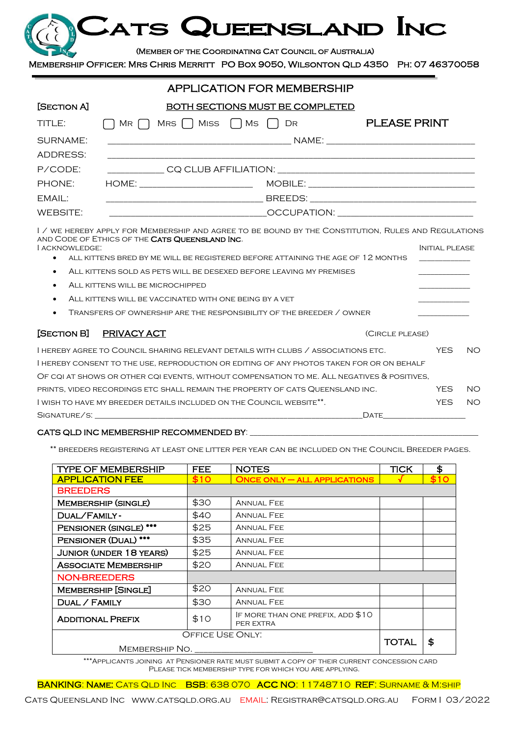# ATS QUEENSLAND INC

#### (Member of the Coordinating Cat Council of Australia)

Membership Officer: Mrs Chris Merritt PO Box 9050, Wilsonton Qld 4350 Ph: 07 46370058

|                 | <b>APPLICATION FOR MEMBERSHIP</b>                                                                                                                                                                                                                                                                                            |                     |  |  |  |
|-----------------|------------------------------------------------------------------------------------------------------------------------------------------------------------------------------------------------------------------------------------------------------------------------------------------------------------------------------|---------------------|--|--|--|
| [SECTION A]     | BOTH SECTIONS MUST BE COMPLETED                                                                                                                                                                                                                                                                                              |                     |  |  |  |
| TITLE:          | $\bigcap$ MR $\bigcap$ MRS $\bigcap$ MISS $\bigcap$ MS $\bigcap$ DR                                                                                                                                                                                                                                                          | <b>PLEASE PRINT</b> |  |  |  |
| SURNAME:        |                                                                                                                                                                                                                                                                                                                              |                     |  |  |  |
| <b>ADDRESS:</b> |                                                                                                                                                                                                                                                                                                                              |                     |  |  |  |
| P/CODE:         |                                                                                                                                                                                                                                                                                                                              |                     |  |  |  |
| PHONE:          | HOME: _______________________________                                                                                                                                                                                                                                                                                        |                     |  |  |  |
| EMAIL:          | <u> 1990 - Johann Harry Harry Harry Harry Harry Harry Harry Harry Harry Harry Harry Harry Harry Harry Harry Harry</u>                                                                                                                                                                                                        |                     |  |  |  |
| WEBSITE:        | $\hspace{0.1cm}$ $\hspace{0.1cm}$ $\hspace{0.1cm}$ $\hspace{0.1cm}$ $\hspace{0.1cm}$ $\hspace{0.1cm}$ $\hspace{0.1cm}$ $\hspace{0.1cm}$ $\hspace{0.1cm}$ $\hspace{0.1cm}$ $\hspace{0.1cm}$ $\hspace{0.1cm}$ $\hspace{0.1cm}$ $\hspace{0.1cm}$ $\hspace{0.1cm}$ $\hspace{0.1cm}$ $\hspace{0.1cm}$ $\hspace{0.1cm}$ $\hspace{$ |                     |  |  |  |
|                 |                                                                                                                                                                                                                                                                                                                              |                     |  |  |  |

I / we hereby apply for Membership and agree to be bound by the Constitution, Rules and Regulations and Code of Ethics of the Cats Queensland Inc. **I** acknowledge: Initial please in the later of the later of the later of the later of the later of the later of the later of the later of the later of the later of the later of the later of the later of the later of the l

• ALL KITTENS BRED BY ME WILL BE REGISTERED BEFORE ATTAINING THE AGE OF 12 MONTHS

| ALL KITTENS SOLD AS PETS WILL BE DESEXED BEFORE LEAVING MY PREMISES                            |                 |            |     |
|------------------------------------------------------------------------------------------------|-----------------|------------|-----|
| ALL KITTENS WILL BE MICROCHIPPED                                                               |                 |            |     |
| ALL KITTENS WILL BE VACCINATED WITH ONE BEING BY A VET                                         |                 |            |     |
| TRANSFERS OF OWNERSHIP ARE THE RESPONSIBILITY OF THE BREEDER / OWNER<br>$\bullet$              |                 |            |     |
| [SECTION B]<br>PRIVACY ACT                                                                     | (CIRCLE PLEASE) |            |     |
| I HEREBY AGREE TO COUNCIL SHARING RELEVANT DETAILS WITH CLUBS / ASSOCIATIONS ETC.              |                 | YFS        | NO  |
| I HEREBY CONSENT TO THE USE, REPRODUCTION OR EDITING OF ANY PHOTOS TAKEN FOR OR ON BEHALF      |                 |            |     |
| OF CQI AT SHOWS OR OTHER CQI EVENTS, WITHOUT COMPENSATION TO ME, ALL NEGATIVES $\&$ POSITIVES, |                 |            |     |
| PRINTS, VIDEO RECORDINGS ETC SHALL REMAIN THE PROPERTY OF CATS QUEENSLAND INC.                 |                 | <b>YFS</b> | NO  |
| I WISH TO HAVE MY BREEDER DETAILS INCLUDED ON THE COUNCIL WEBSITE**.                           |                 | YES        | NO. |

Signature/s: \_\_\_\_\_\_\_\_\_\_\_\_\_\_\_\_\_\_\_\_\_\_\_\_\_\_\_\_\_\_\_\_\_\_\_\_\_\_\_\_\_\_\_\_\_\_\_\_\_\_\_\_\_\_\_\_\_\_\_\_\_\_\_\_\_\_\_\_Date\_\_\_\_\_\_\_\_\_\_\_\_\_\_\_\_\_\_\_\_\_

#### CATS QLD INC MEMBERSHIP RECOMMENDED BY:

\*\* breeders registering at least one litter per year can be included on the Council Breeder pages.

| <b>TYPE OF MEMBERSHIP</b>      | <b>FEE</b> | <b>NOTES</b>                                   | <b>TICK</b>  | \$   |
|--------------------------------|------------|------------------------------------------------|--------------|------|
| <b>APPLICATION FEE</b>         | \$10       | $ONCE$ ONLY $-$ ALL APPLICATIONS               |              | \$10 |
| <b>BREEDERS</b>                |            |                                                |              |      |
| <b>MEMBERSHIP (SINGLE)</b>     | \$30       | <b>ANNUAL FEE</b>                              |              |      |
| DUAL/FAMILY-                   | \$40       | <b>ANNUAL FEE</b>                              |              |      |
| PENSIONER (SINGLE) ***         | \$25       | <b>ANNUAL FEE</b>                              |              |      |
| PENSIONER (DUAL) ***           | \$35       | <b>ANNUAL FEE</b>                              |              |      |
| <b>JUNIOR (UNDER 18 YEARS)</b> | \$25       | <b>ANNUAL FEE</b>                              |              |      |
| <b>ASSOCIATE MEMBERSHIP</b>    | \$20       | <b>ANNUAL FEE</b>                              |              |      |
| <b>NON-BREEDERS</b>            |            |                                                |              |      |
| <b>MEMBERSHIP [SINGLE]</b>     | \$20       | <b>ANNUAL FEE</b>                              |              |      |
| DUAL / FAMILY                  | \$30       | <b>ANNUAL FEE</b>                              |              |      |
| <b>ADDITIONAL PREFIX</b>       | \$10       | IF MORE THAN ONE PREFIX, ADD \$10<br>PER EXTRA |              |      |
| <b>OFFICE USE ONLY:</b>        |            |                                                | <b>TOTAL</b> | \$   |
| MEMBERSHIP NO.                 |            |                                                |              |      |

\*\*\*Applicants joining at Pensioner rate must submit a copy of their current concession card Please tick membership type for which you are applying.

BANKING: NAME: CATS QLD INC BSB: 638 070 ACC NO: 11748710 REF: SURNAME & M:SHIP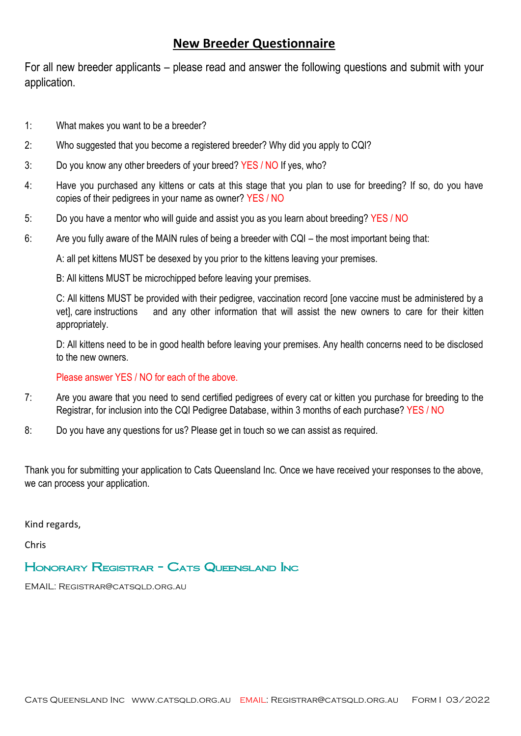## **New Breeder Questionnaire**

For all new breeder applicants – please read and answer the following questions and submit with your application.

- 1: What makes you want to be a breeder?
- 2: Who suggested that you become a registered breeder? Why did you apply to CQI?
- 3: Do you know any other breeders of your breed? YES / NO If yes, who?
- 4: Have you purchased any kittens or cats at this stage that you plan to use for breeding? If so, do you have copies of their pedigrees in your name as owner? YES / NO
- 5: Do you have a mentor who will guide and assist you as you learn about breeding? YES / NO
- 6: Are you fully aware of the MAIN rules of being a breeder with CQI the most important being that:

A: all pet kittens MUST be desexed by you prior to the kittens leaving your premises.

B: All kittens MUST be microchipped before leaving your premises.

C: All kittens MUST be provided with their pedigree, vaccination record [one vaccine must be administered by a vet], care instructions and any other information that will assist the new owners to care for their kitten appropriately.

D: All kittens need to be in good health before leaving your premises. Any health concerns need to be disclosed to the new owners.

Please answer YES / NO for each of the above.

- 7: Are you aware that you need to send certified pedigrees of every cat or kitten you purchase for breeding to the Registrar, for inclusion into the CQI Pedigree Database, within 3 months of each purchase? YES / NO
- 8: Do you have any questions for us? Please get in touch so we can assist as required.

Thank you for submitting your application to Cats Queensland Inc. Once we have received your responses to the above, we can process your application.

Kind regards,

Chris

### Honorary Registrar - Cats Queensland Inc

EMAIL: Registrar@catsqld.org.au